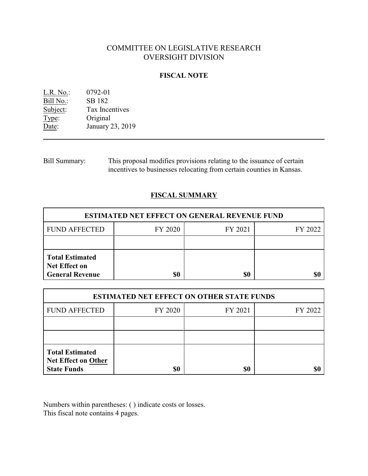# COMMITTEE ON LEGISLATIVE RESEARCH OVERSIGHT DIVISION

## **FISCAL NOTE**

L.R. No.: 0792-01 Bill No.: SB 182<br>Subject: Tax Ince Tax Incentives Type: Original<br>Date: January 2 January 23, 2019

Bill Summary: This proposal modifies provisions relating to the issuance of certain incentives to businesses relocating from certain counties in Kansas.

# **FISCAL SUMMARY**

| <b>ESTIMATED NET EFFECT ON GENERAL REVENUE FUND</b>                      |         |         |         |  |
|--------------------------------------------------------------------------|---------|---------|---------|--|
| <b>FUND AFFECTED</b>                                                     | FY 2020 | FY 2021 | FY 2022 |  |
|                                                                          |         |         |         |  |
| <b>Total Estimated</b><br><b>Net Effect on</b><br><b>General Revenue</b> | \$0     | \$0     |         |  |

| <b>ESTIMATED NET EFFECT ON OTHER STATE FUNDS</b>                           |         |         |         |  |
|----------------------------------------------------------------------------|---------|---------|---------|--|
| <b>FUND AFFECTED</b>                                                       | FY 2020 | FY 2021 | FY 2022 |  |
|                                                                            |         |         |         |  |
|                                                                            |         |         |         |  |
| <b>Total Estimated</b><br><b>Net Effect on Other</b><br><b>State Funds</b> | \$0     | \$0     |         |  |

Numbers within parentheses: ( ) indicate costs or losses. This fiscal note contains 4 pages.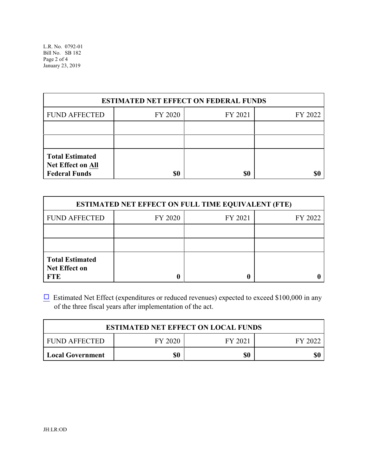| <b>ESTIMATED NET EFFECT ON FEDERAL FUNDS</b>                               |         |         |         |  |
|----------------------------------------------------------------------------|---------|---------|---------|--|
| <b>FUND AFFECTED</b>                                                       | FY 2020 | FY 2021 | FY 2022 |  |
|                                                                            |         |         |         |  |
|                                                                            |         |         |         |  |
| <b>Total Estimated</b><br><b>Net Effect on All</b><br><b>Federal Funds</b> | \$0     | \$0     |         |  |

| <b>ESTIMATED NET EFFECT ON FULL TIME EQUIVALENT (FTE)</b>    |         |         |         |  |
|--------------------------------------------------------------|---------|---------|---------|--|
| <b>FUND AFFECTED</b>                                         | FY 2020 | FY 2021 | FY 2022 |  |
|                                                              |         |         |         |  |
|                                                              |         |         |         |  |
| <b>Total Estimated</b><br><b>Net Effect on</b><br><b>FTE</b> |         |         |         |  |

 $\Box$  Estimated Net Effect (expenditures or reduced revenues) expected to exceed \$100,000 in any of the three fiscal years after implementation of the act.

| <b>ESTIMATED NET EFFECT ON LOCAL FUNDS</b> |         |         |         |  |
|--------------------------------------------|---------|---------|---------|--|
| <b>FUND AFFECTED</b>                       | FY 2020 | FY 2021 | FY 2022 |  |
| <b>Local Government</b>                    | \$0     | \$0     | \$0     |  |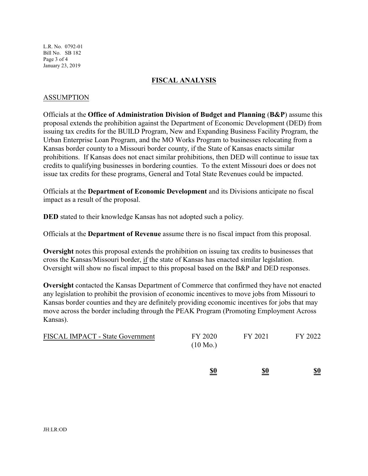L.R. No. 0792-01 Bill No. SB 182 Page 3 of 4 January 23, 2019

#### **FISCAL ANALYSIS**

#### ASSUMPTION

Officials at the **Office of Administration Division of Budget and Planning** (**B&P**) assume this proposal extends the prohibition against the Department of Economic Development (DED) from issuing tax credits for the BUILD Program, New and Expanding Business Facility Program, the Urban Enterprise Loan Program, and the MO Works Program to businesses relocating from a Kansas border county to a Missouri border county, if the State of Kansas enacts similar prohibitions. If Kansas does not enact similar prohibitions, then DED will continue to issue tax credits to qualifying businesses in bordering counties. To the extent Missouri does or does not issue tax credits for these programs, General and Total State Revenues could be impacted.

Officials at the **Department of Economic Development** and its Divisions anticipate no fiscal impact as a result of the proposal.

**DED** stated to their knowledge Kansas has not adopted such a policy.

Officials at the **Department of Revenue** assume there is no fiscal impact from this proposal.

**Oversight** notes this proposal extends the prohibition on issuing tax credits to businesses that cross the Kansas/Missouri border, if the state of Kansas has enacted similar legislation. Oversight will show no fiscal impact to this proposal based on the B&P and DED responses.

**Oversight** contacted the Kansas Department of Commerce that confirmed they have not enacted any legislation to prohibit the provision of economic incentives to move jobs from Missouri to Kansas border counties and they are definitely providing economic incentives for jobs that may move across the border including through the PEAK Program (Promoting Employment Across Kansas).

| <b>FISCAL IMPACT - State Government</b> | FY 2020<br>$(10 \text{ Mo.})$ | FY 2021 | FY 2022 |
|-----------------------------------------|-------------------------------|---------|---------|
|                                         |                               |         |         |

**\$0 \$0 \$0**